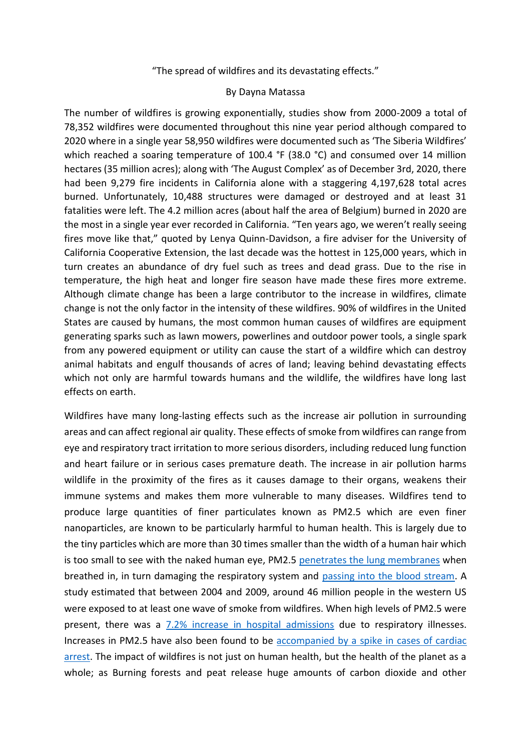## "The spread of wildfires and its devastating effects."

## By Dayna Matassa

The number of wildfires is growing exponentially, studies show from 2000-2009 a total of 78,352 wildfires were documented throughout this nine year period although compared to 2020 where in a single year 58,950 wildfires were documented such as 'The Siberia Wildfires' which reached a soaring temperature of 100.4 °F (38.0 °C) and consumed over 14 million hectares (35 million acres); along with 'The August Complex' as of December 3rd, 2020, there had been 9,279 fire incidents in California alone with a staggering 4,197,628 total acres burned. Unfortunately, 10,488 structures were damaged or destroyed and at least 31 fatalities were left. The 4.2 million acres (about half the area of Belgium) burned in 2020 are the most in a single year ever recorded in California. "Ten years ago, we weren't really seeing fires move like that," quoted by Lenya Quinn-Davidson, a fire adviser for the University of California Cooperative Extension, the last decade was the hottest in 125,000 years, which in turn creates an abundance of dry fuel such as trees and dead grass. Due to the rise in temperature, the high heat and longer fire season have made these fires more extreme. Although climate change has been a large contributor to the increase in wildfires, climate change is not the only factor in the intensity of these wildfires. 90% of wildfires in the United States are caused by humans, the most common human causes of wildfires are equipment generating sparks such as lawn mowers, powerlines and outdoor power tools, a single spark from any powered equipment or utility can cause the start of a wildfire which can destroy animal habitats and engulf thousands of acres of land; leaving behind devastating effects which not only are harmful towards humans and the wildlife, the wildfires have long last effects on earth.

Wildfires have many long-lasting effects such as the increase air pollution in surrounding areas and can affect regional air quality. These effects of smoke from wildfires can range from eye and respiratory tract irritation to more serious disorders, including reduced lung function and heart failure or in serious cases premature death. The increase in air pollution harms wildlife in the proximity of the fires as it causes damage to their organs, weakens their immune systems and makes them more vulnerable to many diseases. Wildfires tend to produce large quantities of finer particulates known as PM2.5 which are even finer nanoparticles, are known to be particularly harmful to human health. This is largely due to the tiny particles which are more than 30 times smaller than the width of a human hair which is too small to see with the naked human eye, PM2.5 [penetrates the lung membranes](https://www.ncbi.nlm.nih.gov/pmc/articles/PMC4740125/) when breathed in, in turn damaging the respiratory system and [passing into the blood stream.](https://www.bbc.com/future/article/20191113-the-toxic-killers-in-our-air-too-small-to-see) A study estimated that between 2004 and 2009, around 46 million people in the western US were exposed to at least one wave of smoke from wildfires. When high levels of PM2.5 were present, there was a [7.2% increase in hospital admissions](https://www.ncbi.nlm.nih.gov/pmc/articles/PMC5130603/) due to respiratory illnesses. Increases in PM2.5 have also been found to be [accompanied by a spike in cases of cardiac](https://www.thelancet.com/journals/lanplh/article/PIIS2542-5196(19)30262-1/fulltext)  [arrest.](https://www.thelancet.com/journals/lanplh/article/PIIS2542-5196(19)30262-1/fulltext) The impact of wildfires is not just on human health, but the health of the planet as a whole; as Burning forests and peat release huge amounts of carbon dioxide and other